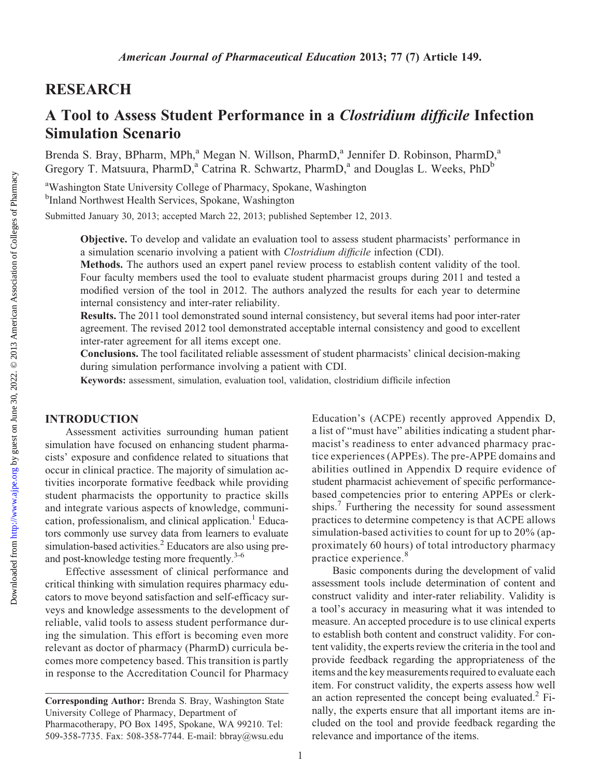## RESEARCH

# A Tool to Assess Student Performance in a Clostridium difficile Infection Simulation Scenario

Brenda S. Bray, BPharm, MPh,<sup>a</sup> Megan N. Willson, PharmD,<sup>a</sup> Jennifer D. Robinson, PharmD,<sup>a</sup> Gregory T. Matsuura, PharmD,<sup>a</sup> Catrina R. Schwartz, PharmD,<sup>a</sup> and Douglas L. Weeks, PhD<sup>b</sup>

<sup>a</sup>Washington State University College of Pharmacy, Spokane, Washington <sup>b</sup>Inland Northwest Health Services, Spokane, Washington

Submitted January 30, 2013; accepted March 22, 2013; published September 12, 2013.

Objective. To develop and validate an evaluation tool to assess student pharmacists' performance in a simulation scenario involving a patient with Clostridium difficile infection (CDI).

Methods. The authors used an expert panel review process to establish content validity of the tool. Four faculty members used the tool to evaluate student pharmacist groups during 2011 and tested a modified version of the tool in 2012. The authors analyzed the results for each year to determine internal consistency and inter-rater reliability.

Results. The 2011 tool demonstrated sound internal consistency, but several items had poor inter-rater agreement. The revised 2012 tool demonstrated acceptable internal consistency and good to excellent inter-rater agreement for all items except one.

Conclusions. The tool facilitated reliable assessment of student pharmacists' clinical decision-making during simulation performance involving a patient with CDI.

Keywords: assessment, simulation, evaluation tool, validation, clostridium difficile infection

## INTRODUCTION

Assessment activities surrounding human patient simulation have focused on enhancing student pharmacists' exposure and confidence related to situations that occur in clinical practice. The majority of simulation activities incorporate formative feedback while providing student pharmacists the opportunity to practice skills and integrate various aspects of knowledge, communication, professionalism, and clinical application.<sup>1</sup> Educators commonly use survey data from learners to evaluate simulation-based activities.<sup>2</sup> Educators are also using preand post-knowledge testing more frequently.<sup>3-6</sup>

Effective assessment of clinical performance and critical thinking with simulation requires pharmacy educators to move beyond satisfaction and self-efficacy surveys and knowledge assessments to the development of reliable, valid tools to assess student performance during the simulation. This effort is becoming even more relevant as doctor of pharmacy (PharmD) curricula becomes more competency based. This transition is partly in response to the Accreditation Council for Pharmacy

Education's (ACPE) recently approved Appendix D, a list of "must have" abilities indicating a student pharmacist's readiness to enter advanced pharmacy practice experiences (APPEs). The pre-APPE domains and abilities outlined in Appendix D require evidence of student pharmacist achievement of specific performancebased competencies prior to entering APPEs or clerkships.<sup>7</sup> Furthering the necessity for sound assessment practices to determine competency is that ACPE allows simulation-based activities to count for up to 20% (approximately 60 hours) of total introductory pharmacy practice experience.<sup>8</sup>

Basic components during the development of valid assessment tools include determination of content and construct validity and inter-rater reliability. Validity is a tool's accuracy in measuring what it was intended to measure. An accepted procedure is to use clinical experts to establish both content and construct validity. For content validity, the experts review the criteria in the tool and provide feedback regarding the appropriateness of the items and the key measurements required to evaluate each item. For construct validity, the experts assess how well an action represented the concept being evaluated. ${}^{2}$  Finally, the experts ensure that all important items are included on the tool and provide feedback regarding the relevance and importance of the items.

Corresponding Author: Brenda S. Bray, Washington State University College of Pharmacy, Department of Pharmacotherapy, PO Box 1495, Spokane, WA 99210. Tel: 509-358-7735. Fax: 508-358-7744. E-mail: bbray@wsu.edu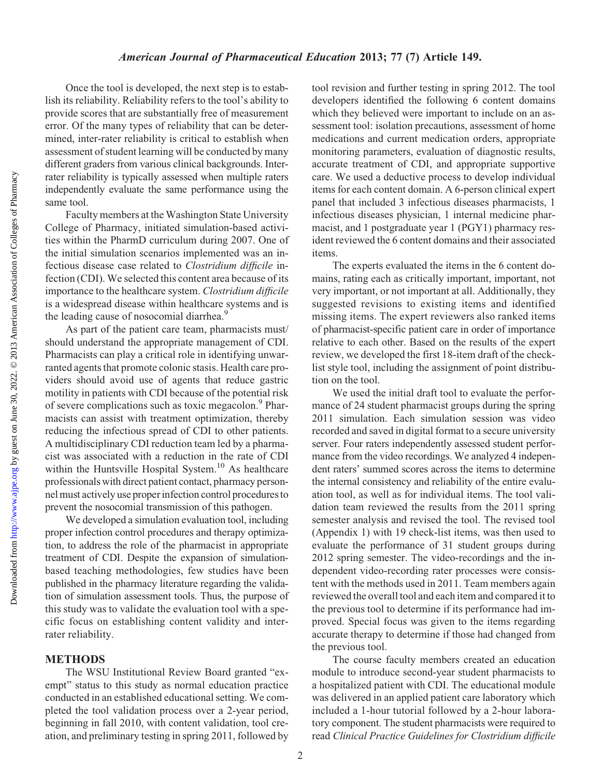Once the tool is developed, the next step is to establish its reliability. Reliability refers to the tool's ability to provide scores that are substantially free of measurement error. Of the many types of reliability that can be determined, inter-rater reliability is critical to establish when assessment of student learning will be conducted by many different graders from various clinical backgrounds. Interrater reliability is typically assessed when multiple raters independently evaluate the same performance using the same tool.

Faculty members at the Washington State University College of Pharmacy, initiated simulation-based activities within the PharmD curriculum during 2007. One of the initial simulation scenarios implemented was an infectious disease case related to Clostridium difficile infection (CDI). We selected this content area because of its importance to the healthcare system. Clostridium difficile is a widespread disease within healthcare systems and is the leading cause of nosocomial diarrhea.<sup>9</sup>

As part of the patient care team, pharmacists must/ should understand the appropriate management of CDI. Pharmacists can play a critical role in identifying unwarranted agents that promote colonic stasis. Health care providers should avoid use of agents that reduce gastric motility in patients with CDI because of the potential risk of severe complications such as toxic megacolon.9 Pharmacists can assist with treatment optimization, thereby reducing the infectious spread of CDI to other patients. A multidisciplinary CDI reduction team led by a pharmacist was associated with a reduction in the rate of CDI within the Huntsville Hospital System.<sup>10</sup> As healthcare professionals with direct patient contact, pharmacy personnel must actively use proper infection control procedures to prevent the nosocomial transmission of this pathogen.

We developed a simulation evaluation tool, including proper infection control procedures and therapy optimization, to address the role of the pharmacist in appropriate treatment of CDI. Despite the expansion of simulationbased teaching methodologies, few studies have been published in the pharmacy literature regarding the validation of simulation assessment tools. Thus, the purpose of this study was to validate the evaluation tool with a specific focus on establishing content validity and interrater reliability.

## **METHODS**

The WSU Institutional Review Board granted "exempt" status to this study as normal education practice conducted in an established educational setting. We completed the tool validation process over a 2-year period, beginning in fall 2010, with content validation, tool creation, and preliminary testing in spring 2011, followed by

tool revision and further testing in spring 2012. The tool developers identified the following 6 content domains which they believed were important to include on an assessment tool: isolation precautions, assessment of home medications and current medication orders, appropriate monitoring parameters, evaluation of diagnostic results, accurate treatment of CDI, and appropriate supportive care. We used a deductive process to develop individual items for each content domain. A 6-person clinical expert panel that included 3 infectious diseases pharmacists, 1 infectious diseases physician, 1 internal medicine pharmacist, and 1 postgraduate year 1 (PGY1) pharmacy resident reviewed the 6 content domains and their associated items.

The experts evaluated the items in the 6 content domains, rating each as critically important, important, not very important, or not important at all. Additionally, they suggested revisions to existing items and identified missing items. The expert reviewers also ranked items of pharmacist-specific patient care in order of importance relative to each other. Based on the results of the expert review, we developed the first 18-item draft of the checklist style tool, including the assignment of point distribution on the tool.

We used the initial draft tool to evaluate the performance of 24 student pharmacist groups during the spring 2011 simulation. Each simulation session was video recorded and saved in digital format to a secure university server. Four raters independently assessed student performance from the video recordings. We analyzed 4 independent raters' summed scores across the items to determine the internal consistency and reliability of the entire evaluation tool, as well as for individual items. The tool validation team reviewed the results from the 2011 spring semester analysis and revised the tool. The revised tool (Appendix 1) with 19 check-list items, was then used to evaluate the performance of 31 student groups during 2012 spring semester. The video-recordings and the independent video-recording rater processes were consistent with the methods used in 2011. Team members again reviewed the overall tool and each item and compared it to the previous tool to determine if its performance had improved. Special focus was given to the items regarding accurate therapy to determine if those had changed from the previous tool.

The course faculty members created an education module to introduce second-year student pharmacists to a hospitalized patient with CDI. The educational module was delivered in an applied patient care laboratory which included a 1-hour tutorial followed by a 2-hour laboratory component. The student pharmacists were required to read Clinical Practice Guidelines for Clostridium difficile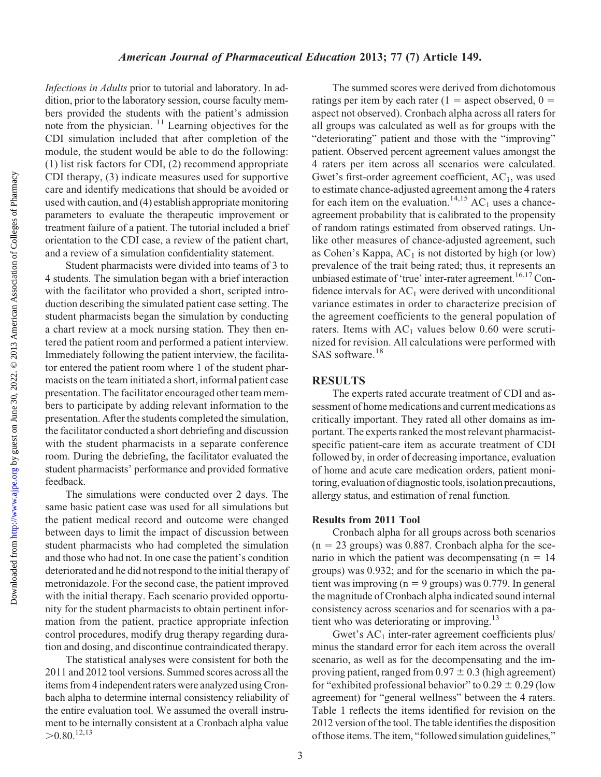#### American Journal of Pharmaceutical Education 2013; 77 (7) Article 149.

Infections in Adults prior to tutorial and laboratory. In addition, prior to the laboratory session, course faculty members provided the students with the patient's admission note from the physician.  $\frac{11}{11}$  Learning objectives for the CDI simulation included that after completion of the module, the student would be able to do the following: (1) list risk factors for CDI, (2) recommend appropriate CDI therapy, (3) indicate measures used for supportive care and identify medications that should be avoided or used with caution, and (4) establish appropriate monitoring parameters to evaluate the therapeutic improvement or treatment failure of a patient. The tutorial included a brief orientation to the CDI case, a review of the patient chart, and a review of a simulation confidentiality statement.

Student pharmacists were divided into teams of 3 to 4 students. The simulation began with a brief interaction with the facilitator who provided a short, scripted introduction describing the simulated patient case setting. The student pharmacists began the simulation by conducting a chart review at a mock nursing station. They then entered the patient room and performed a patient interview. Immediately following the patient interview, the facilitator entered the patient room where 1 of the student pharmacists on the team initiated a short, informal patient case presentation. The facilitator encouraged other team members to participate by adding relevant information to the presentation. After the students completed the simulation, the facilitator conducted a short debriefing and discussion with the student pharmacists in a separate conference room. During the debriefing, the facilitator evaluated the student pharmacists' performance and provided formative feedback.

The simulations were conducted over 2 days. The same basic patient case was used for all simulations but the patient medical record and outcome were changed between days to limit the impact of discussion between student pharmacists who had completed the simulation and those who had not. In one case the patient's condition deteriorated and he did not respond to the initial therapy of metronidazole. For the second case, the patient improved with the initial therapy. Each scenario provided opportunity for the student pharmacists to obtain pertinent information from the patient, practice appropriate infection control procedures, modify drug therapy regarding duration and dosing, and discontinue contraindicated therapy.

The statistical analyses were consistent for both the 2011 and 2012 tool versions. Summed scores across all the items from 4 independent raters were analyzed using Cronbach alpha to determine internal consistency reliability of the entire evaluation tool. We assumed the overall instrument to be internally consistent at a Cronbach alpha value  $> 0.80^{12,13}$ 

The summed scores were derived from dichotomous ratings per item by each rater (1 = aspect observed,  $0 =$ aspect not observed). Cronbach alpha across all raters for all groups was calculated as well as for groups with the "deteriorating" patient and those with the "improving" patient. Observed percent agreement values amongst the 4 raters per item across all scenarios were calculated. Gwet's first-order agreement coefficient,  $AC<sub>1</sub>$ , was used to estimate chance-adjusted agreement among the 4 raters for each item on the evaluation.<sup>14,15</sup> AC<sub>1</sub> uses a chanceagreement probability that is calibrated to the propensity of random ratings estimated from observed ratings. Unlike other measures of chance-adjusted agreement, such as Cohen's Kappa,  $AC<sub>1</sub>$  is not distorted by high (or low) prevalence of the trait being rated; thus, it represents an unbiased estimate of 'true' inter-rater agreement.<sup>16,17</sup> Confidence intervals for  $AC<sub>1</sub>$  were derived with unconditional variance estimates in order to characterize precision of the agreement coefficients to the general population of raters. Items with  $AC_1$  values below 0.60 were scrutinized for revision. All calculations were performed with SAS software.<sup>18</sup>

### RESULTS

The experts rated accurate treatment of CDI and assessment of home medications and current medications as critically important. They rated all other domains as important. The experts ranked the most relevant pharmacistspecific patient-care item as accurate treatment of CDI followed by, in order of decreasing importance, evaluation of home and acute care medication orders, patient monitoring, evaluation of diagnostic tools, isolation precautions, allergy status, and estimation of renal function.

#### Results from 2011 Tool

Cronbach alpha for all groups across both scenarios  $(n = 23 \text{ groups})$  was 0.887. Cronbach alpha for the scenario in which the patient was decompensating  $(n = 14)$ groups) was 0.932; and for the scenario in which the patient was improving ( $n = 9$  groups) was 0.779. In general the magnitude of Cronbach alpha indicated sound internal consistency across scenarios and for scenarios with a patient who was deteriorating or improving.<sup>13</sup>

Gwet's  $AC<sub>1</sub>$  inter-rater agreement coefficients plus/ minus the standard error for each item across the overall scenario, as well as for the decompensating and the improving patient, ranged from  $0.97 \pm 0.3$  (high agreement) for "exhibited professional behavior" to  $0.29 \pm 0.29$  (low agreement) for "general wellness" between the 4 raters. Table 1 reflects the items identified for revision on the 2012 version of the tool. The table identifies the disposition ofthose items. The item, "followed simulation guidelines,"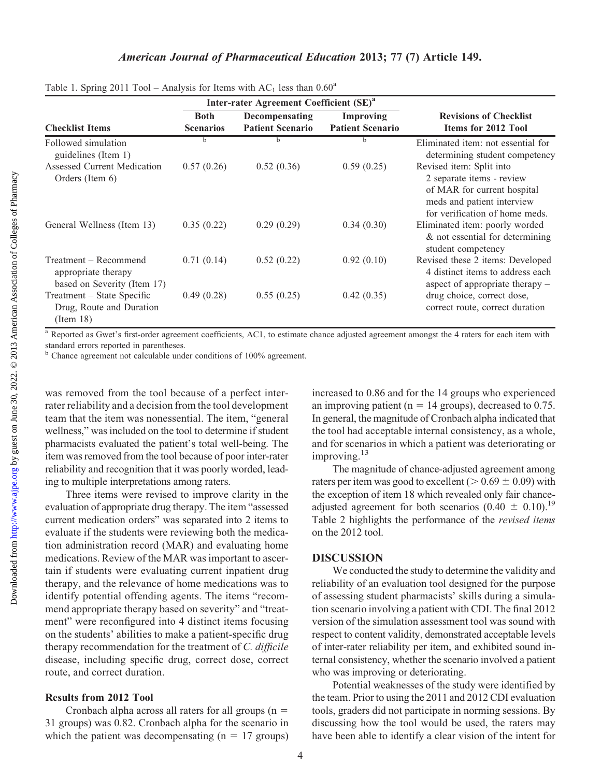<http://www.ajpe.org>

Downloaded from

## American Journal of Pharmaceutical Education 2013; 77 (7) Article 149.

|                                                                             |                                 | Inter-rater Agreement Coefficient (SE) <sup>a</sup> |                                             |                                                                                                                                                      |
|-----------------------------------------------------------------------------|---------------------------------|-----------------------------------------------------|---------------------------------------------|------------------------------------------------------------------------------------------------------------------------------------------------------|
| <b>Checklist Items</b>                                                      | <b>Both</b><br><b>Scenarios</b> | Decompensating<br><b>Patient Scenario</b>           | <b>Improving</b><br><b>Patient Scenario</b> | <b>Revisions of Checklist</b><br><b>Items for 2012 Tool</b>                                                                                          |
| Followed simulation<br>guidelines (Item 1)                                  | h                               | h                                                   |                                             | Eliminated item: not essential for<br>determining student competency                                                                                 |
| Assessed Current Medication<br>Orders (Item 6)                              | 0.57(0.26)                      | 0.52(0.36)                                          | 0.59(0.25)                                  | Revised item: Split into<br>2 separate items - review<br>of MAR for current hospital<br>meds and patient interview<br>for verification of home meds. |
| General Wellness (Item 13)                                                  | 0.35(0.22)                      | 0.29(0.29)                                          | 0.34(0.30)                                  | Eliminated item: poorly worded<br>& not essential for determining<br>student competency                                                              |
| Treatment – Recommend<br>appropriate therapy<br>based on Severity (Item 17) | 0.71(0.14)                      | 0.52(0.22)                                          | 0.92(0.10)                                  | Revised these 2 items: Developed<br>4 distinct items to address each<br>aspect of appropriate therapy $-$                                            |
| Treatment – State Specific<br>Drug, Route and Duration<br>(Item 18)         | 0.49(0.28)                      | 0.55(0.25)                                          | 0.42(0.35)                                  | drug choice, correct dose,<br>correct route, correct duration                                                                                        |

Table 1. Spring 2011 Tool – Analysis for Items with  $AC_1$  less than  $0.60^a$ 

<sup>a</sup> Reported as Gwet's first-order agreement coefficients, AC1, to estimate chance adjusted agreement amongst the 4 raters for each item with standard errors reported in parentheses.

<sup>b</sup> Chance agreement not calculable under conditions of 100% agreement.

was removed from the tool because of a perfect interrater reliability and a decision from the tool development team that the item was nonessential. The item, "general wellness," was included on the tool to determine if student pharmacists evaluated the patient's total well-being. The item was removed from the tool because of poor inter-rater reliability and recognition that it was poorly worded, leading to multiple interpretations among raters.

Three items were revised to improve clarity in the evaluation of appropriate drug therapy. The item "assessed current medication orders" was separated into 2 items to evaluate if the students were reviewing both the medication administration record (MAR) and evaluating home medications. Review of the MAR was important to ascertain if students were evaluating current inpatient drug therapy, and the relevance of home medications was to identify potential offending agents. The items "recommend appropriate therapy based on severity" and "treatment" were reconfigured into 4 distinct items focusing on the students' abilities to make a patient-specific drug therapy recommendation for the treatment of C. difficile disease, including specific drug, correct dose, correct route, and correct duration.

### Results from 2012 Tool

Cronbach alpha across all raters for all groups  $(n = 1)$ 31 groups) was 0.82. Cronbach alpha for the scenario in which the patient was decompensating  $(n = 17 \text{ groups})$ 

increased to 0.86 and for the 14 groups who experienced an improving patient ( $n = 14$  groups), decreased to 0.75. In general, the magnitude of Cronbach alpha indicated that the tool had acceptable internal consistency, as a whole, and for scenarios in which a patient was deteriorating or improving.<sup>13</sup>

The magnitude of chance-adjusted agreement among raters per item was good to excellent ( $> 0.69 \pm 0.09$ ) with the exception of item 18 which revealed only fair chanceadjusted agreement for both scenarios (0.40  $\pm$  0.10).<sup>19</sup> Table 2 highlights the performance of the *revised items* on the 2012 tool.

## **DISCUSSION**

We conducted the study to determine the validity and reliability of an evaluation tool designed for the purpose of assessing student pharmacists' skills during a simulation scenario involving a patient with CDI. The final 2012 version of the simulation assessment tool was sound with respect to content validity, demonstrated acceptable levels of inter-rater reliability per item, and exhibited sound internal consistency, whether the scenario involved a patient who was improving or deteriorating.

Potential weaknesses of the study were identified by the team. Prior to using the 2011 and 2012 CDI evaluation tools, graders did not participate in norming sessions. By discussing how the tool would be used, the raters may have been able to identify a clear vision of the intent for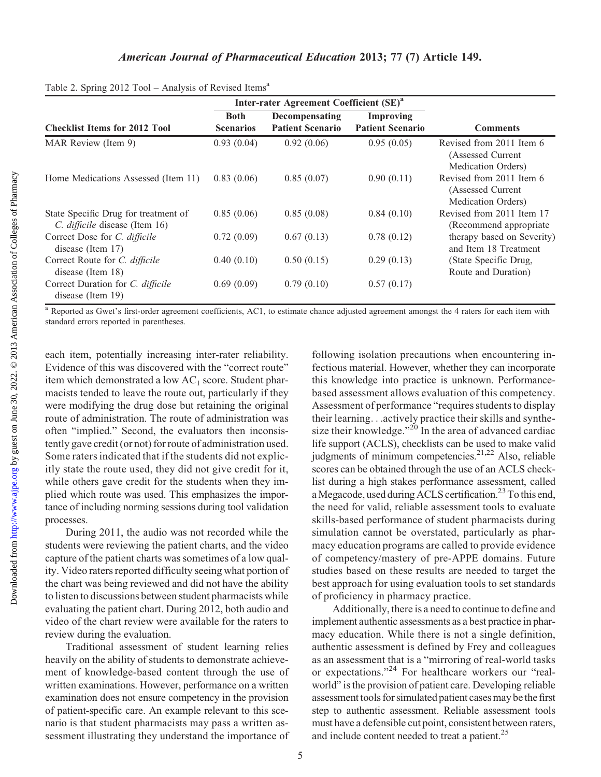|                                                                        |                                 | Inter-rater Agreement Coefficient (SE) <sup>a</sup> |                                             |                                                                     |
|------------------------------------------------------------------------|---------------------------------|-----------------------------------------------------|---------------------------------------------|---------------------------------------------------------------------|
| <b>Checklist Items for 2012 Tool</b>                                   | <b>Both</b><br><b>Scenarios</b> | Decompensating<br><b>Patient Scenario</b>           | <b>Improving</b><br><b>Patient Scenario</b> | <b>Comments</b>                                                     |
| MAR Review (Item 9)                                                    | 0.93(0.04)                      | 0.92(0.06)                                          | 0.95(0.05)                                  | Revised from 2011 Item 6<br>(Assessed Current<br>Medication Orders) |
| Home Medications Assessed (Item 11)                                    | 0.83(0.06)                      | 0.85(0.07)                                          | 0.90(0.11)                                  | Revised from 2011 Item 6<br>(Assessed Current<br>Medication Orders) |
| State Specific Drug for treatment of<br>C. difficile disease (Item 16) | 0.85(0.06)                      | 0.85(0.08)                                          | 0.84(0.10)                                  | Revised from 2011 Item 17<br>(Recommend appropriate)                |
| Correct Dose for C. difficile<br>disease (Item 17)                     | 0.72(0.09)                      | 0.67(0.13)                                          | 0.78(0.12)                                  | therapy based on Severity)<br>and Item 18 Treatment                 |
| Correct Route for C. difficile<br>disease (Item 18)                    | 0.40(0.10)                      | 0.50(0.15)                                          | 0.29(0.13)                                  | (State Specific Drug,<br>Route and Duration)                        |
| Correct Duration for C. difficile<br>disease (Item 19)                 | 0.69(0.09)                      | 0.79(0.10)                                          | 0.57(0.17)                                  |                                                                     |

|  |  | Table 2. Spring 2012 Tool - Analysis of Revised Items <sup>a</sup> |  |  |
|--|--|--------------------------------------------------------------------|--|--|
|  |  |                                                                    |  |  |

<sup>a</sup> Reported as Gwet's first-order agreement coefficients, AC1, to estimate chance adjusted agreement amongst the 4 raters for each item with standard errors reported in parentheses.

each item, potentially increasing inter-rater reliability. Evidence of this was discovered with the "correct route" item which demonstrated a low  $AC<sub>1</sub>$  score. Student pharmacists tended to leave the route out, particularly if they were modifying the drug dose but retaining the original route of administration. The route of administration was often "implied." Second, the evaluators then inconsistently gave credit (or not) for route of administration used. Some raters indicated that if the students did not explicitly state the route used, they did not give credit for it, while others gave credit for the students when they implied which route was used. This emphasizes the importance of including norming sessions during tool validation processes.

During 2011, the audio was not recorded while the students were reviewing the patient charts, and the video capture of the patient charts was sometimes of a low quality. Video raters reported difficulty seeing what portion of the chart was being reviewed and did not have the ability to listen to discussions between student pharmacists while evaluating the patient chart. During 2012, both audio and video of the chart review were available for the raters to review during the evaluation.

Traditional assessment of student learning relies heavily on the ability of students to demonstrate achievement of knowledge-based content through the use of written examinations. However, performance on a written examination does not ensure competency in the provision of patient-specific care. An example relevant to this scenario is that student pharmacists may pass a written assessment illustrating they understand the importance of

following isolation precautions when encountering infectious material. However, whether they can incorporate this knowledge into practice is unknown. Performancebased assessment allows evaluation of this competency. Assessment of performance "requires students to display their learning...actively practice their skills and synthesize their knowledge."<sup>20</sup> In the area of advanced cardiac life support (ACLS), checklists can be used to make valid judgments of minimum competencies. $2^{1,22}$  Also, reliable scores can be obtained through the use of an ACLS checklist during a high stakes performance assessment, called a Megacode, used during ACLS certification.<sup>23</sup> To this end, the need for valid, reliable assessment tools to evaluate skills-based performance of student pharmacists during simulation cannot be overstated, particularly as pharmacy education programs are called to provide evidence of competency/mastery of pre-APPE domains. Future studies based on these results are needed to target the best approach for using evaluation tools to set standards of proficiency in pharmacy practice.

Additionally, there is a need to continue to define and implement authentic assessments as a best practice in pharmacy education. While there is not a single definition, authentic assessment is defined by Frey and colleagues as an assessment that is a "mirroring of real-world tasks or expectations."<sup>24</sup> For healthcare workers our "realworld" is the provision of patient care. Developing reliable assessment tools for simulated patient cases may be the first step to authentic assessment. Reliable assessment tools must have a defensible cut point, consistent between raters, and include content needed to treat a patient.<sup>25</sup>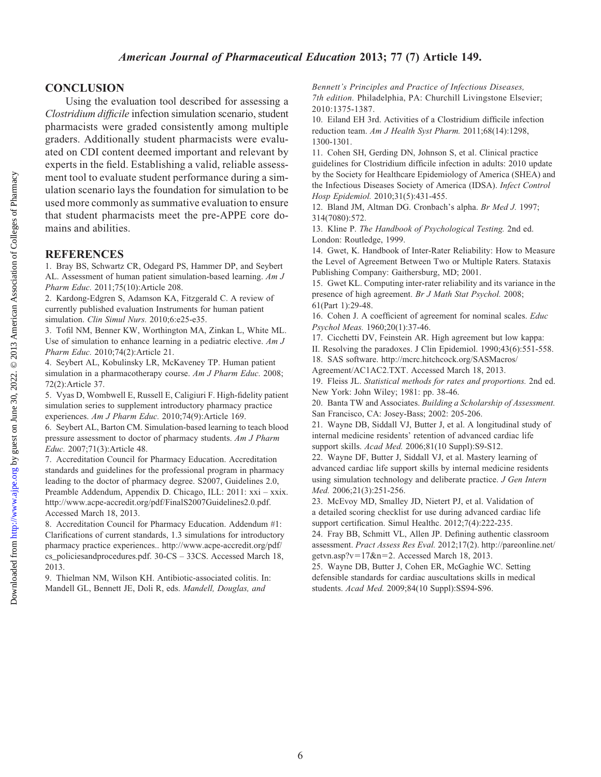## American Journal of Pharmaceutical Education 2013; 77 (7) Article 149.

## **CONCLUSION**

Using the evaluation tool described for assessing a Clostridium difficile infection simulation scenario, student pharmacists were graded consistently among multiple graders. Additionally student pharmacists were evaluated on CDI content deemed important and relevant by experts in the field. Establishing a valid, reliable assessment tool to evaluate student performance during a simulation scenario lays the foundation for simulation to be used more commonly as summative evaluation to ensure that student pharmacists meet the pre-APPE core domains and abilities.

## **REFERENCES**

1. Bray BS, Schwartz CR, Odegard PS, Hammer DP, and Seybert AL. Assessment of human patient simulation-based learning. Am J Pharm Educ. 2011;75(10):Article 208.

2. Kardong-Edgren S, Adamson KA, Fitzgerald C. A review of currently published evaluation Instruments for human patient simulation. Clin Simul Nurs. 2010;6:e25-e35.

3. Tofil NM, Benner KW, Worthington MA, Zinkan L, White ML. Use of simulation to enhance learning in a pediatric elective. Am J Pharm Educ. 2010;74(2):Article 21.

4. Seybert AL, Kobulinsky LR, McKaveney TP. Human patient simulation in a pharmacotherapy course. Am J Pharm Educ. 2008; 72(2):Article 37.

5. Vyas D, Wombwell E, Russell E, Caligiuri F. High-fidelity patient simulation series to supplement introductory pharmacy practice experiences. Am J Pharm Educ. 2010;74(9):Article 169.

6. Seybert AL, Barton CM. Simulation-based learning to teach blood pressure assessment to doctor of pharmacy students. Am J Pharm Educ. 2007;71(3):Article 48.

7. Accreditation Council for Pharmacy Education. Accreditation standards and guidelines for the professional program in pharmacy leading to the doctor of pharmacy degree. S2007, Guidelines 2.0, Preamble Addendum, Appendix D. Chicago, ILL: 2011: xxi – xxix. http://www.acpe-accredit.org/pdf/FinalS2007Guidelines2.0.pdf. Accessed March 18, 2013.

8. Accreditation Council for Pharmacy Education. Addendum #1: Clarifications of current standards, 1.3 simulations for introductory pharmacy practice experiences.. http://www.acpe-accredit.org/pdf/ cs\_policiesandprocedures.pdf. 30-CS – 33CS. Accessed March 18, 2013.

9. Thielman NM, Wilson KH. Antibiotic-associated colitis. In: Mandell GL, Bennett JE, Doli R, eds. Mandell, Douglas, and

Bennett's Principles and Practice of Infectious Diseases, 7th edition. Philadelphia, PA: Churchill Livingstone Elsevier; 2010:1375-1387.

10. Eiland EH 3rd. Activities of a Clostridium difficile infection reduction team. Am J Health Syst Pharm. 2011;68(14):1298, 1300-1301.

11. Cohen SH, Gerding DN, Johnson S, et al. Clinical practice guidelines for Clostridium difficile infection in adults: 2010 update by the Society for Healthcare Epidemiology of America (SHEA) and the Infectious Diseases Society of America (IDSA). Infect Control Hosp Epidemiol. 2010;31(5):431-455.

12. Bland JM, Altman DG. Cronbach's alpha. Br Med J. 1997; 314(7080):572.

13. Kline P. The Handbook of Psychological Testing. 2nd ed. London: Routledge, 1999.

14. Gwet, K. Handbook of Inter-Rater Reliability: How to Measure the Level of Agreement Between Two or Multiple Raters. Stataxis Publishing Company: Gaithersburg, MD; 2001.

15. Gwet KL. Computing inter-rater reliability and its variance in the presence of high agreement. Br J Math Stat Psychol. 2008; 61(Part 1):29-48.

16. Cohen J. A coefficient of agreement for nominal scales. Educ Psychol Meas. 1960;20(1):37-46.

17. Cicchetti DV, Feinstein AR. High agreement but low kappa: II. Resolving the paradoxes. J Clin Epidemiol. 1990;43(6):551-558.

18. SAS software. http://mcrc.hitchcock.org/SASMacros/

Agreement/AC1AC2.TXT. Accessed March 18, 2013. 19. Fleiss JL. Statistical methods for rates and proportions. 2nd ed.

New York: John Wiley; 1981: pp. 38-46.

20. Banta TW and Associates. Building a Scholarship of Assessment. San Francisco, CA: Josey-Bass; 2002: 205-206.

21. Wayne DB, Siddall VJ, Butter J, et al. A longitudinal study of internal medicine residents' retention of advanced cardiac life support skills. Acad Med. 2006;81(10 Suppl):S9-S12.

22. Wayne DF, Butter J, Siddall VJ, et al. Mastery learning of advanced cardiac life support skills by internal medicine residents using simulation technology and deliberate practice. J Gen Intern Med. 2006;21(3):251-256.

23. McEvoy MD, Smalley JD, Nietert PJ, et al. Validation of a detailed scoring checklist for use during advanced cardiac life support certification. Simul Healthc. 2012;7(4):222-235.

24. Fray BB, Schmitt VL, Allen JP. Defining authentic classroom assessment. Pract Assess Res Eval. 2012;17(2). http://pareonline.net/ getvn.asp?v= $17&n=2$ . Accessed March 18, 2013.

25. Wayne DB, Butter J, Cohen ER, McGaghie WC. Setting defensible standards for cardiac auscultations skills in medical students. Acad Med. 2009;84(10 Suppl):SS94-S96.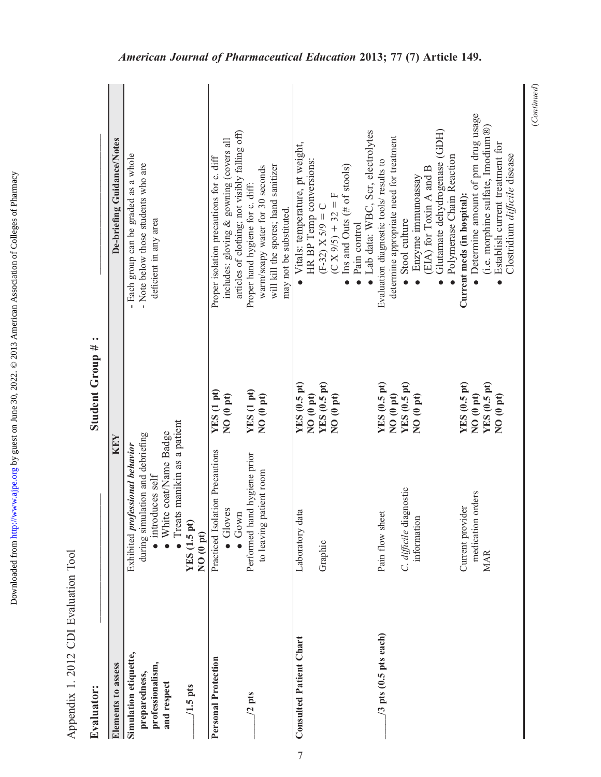| Evaluator:                                                                             |                                                                                                                                                                            | Student Group #                                                            |                                                                                                                                                                                                                                                                                 |
|----------------------------------------------------------------------------------------|----------------------------------------------------------------------------------------------------------------------------------------------------------------------------|----------------------------------------------------------------------------|---------------------------------------------------------------------------------------------------------------------------------------------------------------------------------------------------------------------------------------------------------------------------------|
| Elements to assess                                                                     | KEY                                                                                                                                                                        |                                                                            | De-briefing Guidance/Notes                                                                                                                                                                                                                                                      |
| Simulation etiquette,<br>professionalism,<br>preparedness,<br>and respect<br>$1.5$ pts | Treats manikin as a patient<br>White coat/Name Badge<br>during simulation and debriefing<br>Exhibited professional behavior<br>introduces self<br>YES (1.5 pt)<br>NO(0 pt) |                                                                            | - Each group can be graded as a whole<br>- Note below those students who are<br>deficient in any area                                                                                                                                                                           |
| <b>Personal Protection</b><br>$/2$ pts                                                 | Practiced Isolation Precautions<br>Performed hand hygiene prior<br>to leaving patient room<br>Gloves<br>$\bullet$ Gown                                                     | YES (1 pt)<br>YES (1 pt)<br>NO (0 pt)<br>NO(0 pt)                          | articles of clothing; not visibly falling off)<br>includes: gloving & gowning (covers all<br>Proper isolation precautions for c. diff<br>will kill the spores; hand sanitizer<br>warm/soapy water for 30 seconds<br>Proper hand hygiene for c. diff:<br>may not be substituted. |
| <b>Consulted Patient Chart</b>                                                         | Laboratory data<br>Graphic                                                                                                                                                 | YES (0.5 pt)<br>YES(0.5pt)<br>NO <sub>(0pt)</sub><br>NO <sub>(0pt)</sub>   | Lab data: WBC, Scr, electrolytes<br>Vitals: temperature, pt weight,<br>HR BP Temp conversions:<br>Ins and Outs (# of stools)<br>$(C X 9/5) + 32 = F$<br>$(F-32) X 5/9 = C$<br>Pain control<br>$\bullet$                                                                         |
| /3 pts (0.5 pts each)                                                                  | C. difficile diagnostic<br>Pain flow sheet<br>informatior                                                                                                                  | YES (0.5 pt)<br>YES(0.5pt)<br>NO <sub>(0 pt)</sub><br>NO <sub>(0pt)</sub>  | Glutamate dehydrogenase (GDH)<br>determine appropriate need for treatment<br>Polymerase Chain Reaction<br>Evaluation diagnostic tools/ results to<br>$EIA$ ) for Toxin A and B<br>Enzyme immunoassay<br>Stool culture                                                           |
|                                                                                        | orders<br>Current provider<br>medication<br><b>MAR</b>                                                                                                                     | YES (0.5 pt)<br>YES (0.5 pt)<br>NO <sub>(0pt)</sub><br>NO <sub>(0pt)</sub> | Determine amount of prn drug usage<br>(i.e. morphine sulfate, Imodium®)<br>Establish current treatment for<br>Clostridium difficile disease<br>Current meds (in hospital):<br>$\bullet$                                                                                         |

Appendix 1. 2012 CDI Evaluation Tool Appendix 1. 2012 CDI Evaluation Tool

Downloaded from

 $(Continued)$ (Continued)

Downloaded from http://www.ajpe.org by guest on June 30, 2022. @ 2013 American Association of Colleges of Pharmacy by guest on June 30, 2022. © 2013 American Association of Colleges of Pharmacy <http://www.ajpe.org>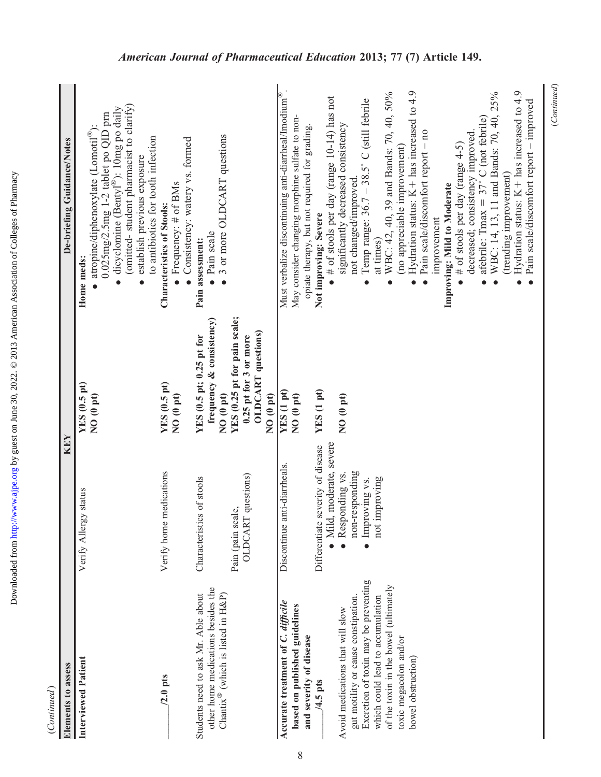| (Continued)                                                                                                               |                                                               |                                                                                                            |                                                                                                                                                                                                                                                                 |
|---------------------------------------------------------------------------------------------------------------------------|---------------------------------------------------------------|------------------------------------------------------------------------------------------------------------|-----------------------------------------------------------------------------------------------------------------------------------------------------------------------------------------------------------------------------------------------------------------|
| Elements to assess                                                                                                        | KEY                                                           |                                                                                                            | De-briefing Guidance/Notes                                                                                                                                                                                                                                      |
| Interviewed Patient                                                                                                       | Verify Allergy status                                         | YES (0.5 pt)<br>NO <sub>(0pt)</sub>                                                                        | (omitted-student pharmacist to clarify)<br>dicyclomine (Bentyl®): 10mg po daily<br>$0.025$ mg/2.5mg 1-2 tablet po QID prn<br>atropine/diphenoxylate (Lomotil®):<br>to antibiotics for tooth infection<br>establish previous exposure<br>Home meds:<br>$\bullet$ |
| $/2.0$ pts                                                                                                                | Verify home medications                                       | YES (0.5 pt)<br>NO <sub>(0pt)</sub>                                                                        | Consistency: watery vs. formed<br>• Frequency: $#$ of BMs<br>Characteristics of Stools:                                                                                                                                                                         |
| other home medications besides the<br>Students need to ask Mr. Able about<br>Chantix® (which is listed in $H\&P$ )        | Characteristics of stools                                     | frequency & consistency)<br>YES (0.5 pt; 0.25 pt for<br>NO (0 pt)                                          | 3 or more OLDCART questions<br>· Pain scale<br>Pain assessment:                                                                                                                                                                                                 |
|                                                                                                                           | OLDCART questions)<br>Pain (pain scale,                       | YES (0.25 pt for pain scale;<br><b>OLDCART</b> questions)<br>0.25 pt for 3 or more<br>NO <sub>(0 pt)</sub> |                                                                                                                                                                                                                                                                 |
| Accurate treatment of C. difficile<br>based on published guidelines<br>and severity of disease                            | Discontinue anti-diarrheals.                                  | YES (1 pt)<br>NO <sub>(0pt)</sub>                                                                          | Must verbalize discontinuing anti-diarrheal/Imodium®<br>May consider changing morphine sulfate to non-<br>opiate therapy, but not required for grading.                                                                                                         |
| $4.5$ pts                                                                                                                 | · Mild, moderate, severe<br>Differentiate severity of disease | YES (1 pt)                                                                                                 | # of stools per day (range $10-14$ ) has not<br>Not improving: Severe                                                                                                                                                                                           |
| Excretion of toxin may be preventing<br>gut motility or cause constipation.<br>Avoid medications that will slow           | non-responding<br>Responding vs.<br>Improving vs.             | NO <sub>(0pt)</sub>                                                                                        | Temp range: 36.7 - 38.5° C (still febrile<br>significantly decreased consistency<br>not changed/improved                                                                                                                                                        |
| of the toxin in the bowel (ultimately<br>which could lead to accumulation<br>toxic megacolon and/or<br>bowel obstruction) | improving<br>not i                                            |                                                                                                            | Hydration status: $K+$ has increased to 4.9<br>WBC: 42, 40, 39 and Bands: 70, 40, 50%<br>Pain scale/discomfort report - no<br>(no appreciable improvement)<br>at times)<br>$\bullet$<br>$\bullet$<br>$\bullet$                                                  |
|                                                                                                                           |                                                               |                                                                                                            | decreased; consistency improved.<br># of stools per day (range $4-5$ )<br>Improving: Mild to Moderate<br>improvement                                                                                                                                            |
|                                                                                                                           |                                                               |                                                                                                            | Hydration status: $K+$ has increased to 4.9<br>WBC: 14, 13, 11 and Bands: 70, 40, 25%<br>Pain scale/discomfort report - improved<br>afebrile: Tmax = $37^{\circ}$ C (not febrile)<br>(trending improvement)                                                     |

8

(Continued)

 $(Continued)$